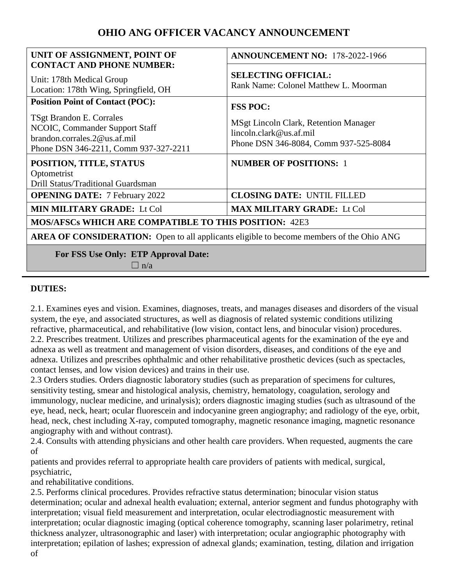# **OHIO ANG OFFICER VACANCY ANNOUNCEMENT**

| UNIT OF ASSIGNMENT, POINT OF<br><b>CONTACT AND PHONE NUMBER:</b>                                                                    | <b>ANNOUNCEMENT NO: 178-2022-1966</b>                                                                       |
|-------------------------------------------------------------------------------------------------------------------------------------|-------------------------------------------------------------------------------------------------------------|
| Unit: 178th Medical Group<br>Location: 178th Wing, Springfield, OH                                                                  | <b>SELECTING OFFICIAL:</b><br>Rank Name: Colonel Matthew L. Moorman                                         |
| <b>Position Point of Contact (POC):</b>                                                                                             | <b>FSS POC:</b>                                                                                             |
| TSgt Brandon E. Corrales<br>NCOIC, Commander Support Staff<br>brandon.corrales.2@us.af.mil<br>Phone DSN 346-2211, Comm 937-327-2211 | MSgt Lincoln Clark, Retention Manager<br>lincoh. clark@us. af. mil<br>Phone DSN 346-8084, Comm 937-525-8084 |
| POSITION, TITLE, STATUS                                                                                                             | <b>NUMBER OF POSITIONS: 1</b>                                                                               |
| Optometrist<br>Drill Status/Traditional Guardsman                                                                                   |                                                                                                             |
| <b>OPENING DATE:</b> 7 February 2022                                                                                                | <b>CLOSING DATE: UNTIL FILLED</b>                                                                           |
| <b>MIN MILITARY GRADE: Lt Col</b>                                                                                                   | <b>MAX MILITARY GRADE: Lt Col</b>                                                                           |
| <b>MOS/AFSCs WHICH ARE COMPATIBLE TO THIS POSITION: 42E3</b>                                                                        |                                                                                                             |
| <b>AREA OF CONSIDERATION:</b> Open to all applicants eligible to become members of the Ohio ANG                                     |                                                                                                             |
| For FSS Use Only: ETP Approval Date:<br>$\Box$ n/a                                                                                  |                                                                                                             |

#### **DUTIES:**

2.1. Examines eyes and vision. Examines, diagnoses, treats, and manages diseases and disorders of the visual system, the eye, and associated structures, as well as diagnosis of related systemic conditions utilizing refractive, pharmaceutical, and rehabilitative (low vision, contact lens, and binocular vision) procedures. 2.2. Prescribes treatment. Utilizes and prescribes pharmaceutical agents for the examination of the eye and adnexa as well as treatment and management of vision disorders, diseases, and conditions of the eye and adnexa. Utilizes and prescribes ophthalmic and other rehabilitative prosthetic devices (such as spectacles, contact lenses, and low vision devices) and trains in their use.

2.3 Orders studies. Orders diagnostic laboratory studies (such as preparation of specimens for cultures, sensitivity testing, smear and histological analysis, chemistry, hematology, coagulation, serology and immunology, nuclear medicine, and urinalysis); orders diagnostic imaging studies (such as ultrasound of the eye, head, neck, heart; ocular fluorescein and indocyanine green angiography; and radiology of the eye, orbit, head, neck, chest including X-ray, computed tomography, magnetic resonance imaging, magnetic resonance angiography with and without contrast).

2.4. Consults with attending physicians and other health care providers. When requested, augments the care of

patients and provides referral to appropriate health care providers of patients with medical, surgical, psychiatric,

and rehabilitative conditions.

2.5. Performs clinical procedures. Provides refractive status determination; binocular vision status determination; ocular and adnexal health evaluation; external, anterior segment and fundus photography with interpretation; visual field measurement and interpretation, ocular electrodiagnostic measurement with interpretation; ocular diagnostic imaging (optical coherence tomography, scanning laser polarimetry, retinal thickness analyzer, ultrasonographic and laser) with interpretation; ocular angiographic photography with interpretation; epilation of lashes; expression of adnexal glands; examination, testing, dilation and irrigation of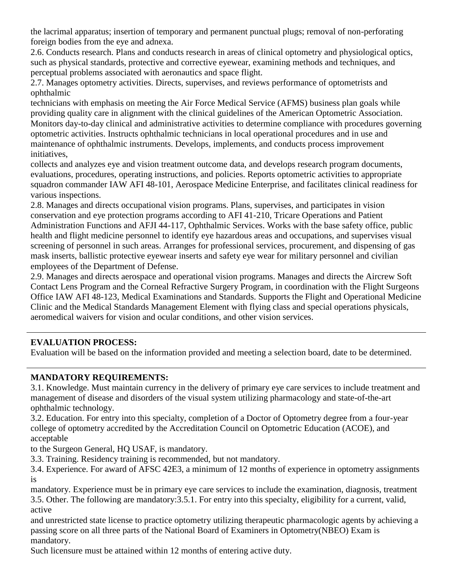the lacrimal apparatus; insertion of temporary and permanent punctual plugs; removal of non-perforating foreign bodies from the eye and adnexa.

2.6. Conducts research. Plans and conducts research in areas of clinical optometry and physiological optics, such as physical standards, protective and corrective eyewear, examining methods and techniques, and perceptual problems associated with aeronautics and space flight.

2.7. Manages optometry activities. Directs, supervises, and reviews performance of optometrists and ophthalmic

technicians with emphasis on meeting the Air Force Medical Service (AFMS) business plan goals while providing quality care in alignment with the clinical guidelines of the American Optometric Association. Monitors day-to-day clinical and administrative activities to determine compliance with procedures governing optometric activities. Instructs ophthalmic technicians in local operational procedures and in use and maintenance of ophthalmic instruments. Develops, implements, and conducts process improvement initiatives,

collects and analyzes eye and vision treatment outcome data, and develops research program documents, evaluations, procedures, operating instructions, and policies. Reports optometric activities to appropriate squadron commander IAW AFI 48-101, Aerospace Medicine Enterprise, and facilitates clinical readiness for various inspections.

2.8. Manages and directs occupational vision programs. Plans, supervises, and participates in vision conservation and eye protection programs according to AFI 41-210, Tricare Operations and Patient Administration Functions and AFJI 44-117, Ophthalmic Services. Works with the base safety office, public health and flight medicine personnel to identify eye hazardous areas and occupations, and supervises visual screening of personnel in such areas. Arranges for professional services, procurement, and dispensing of gas mask inserts, ballistic protective eyewear inserts and safety eye wear for military personnel and civilian employees of the Department of Defense.

2.9. Manages and directs aerospace and operational vision programs. Manages and directs the Aircrew Soft Contact Lens Program and the Corneal Refractive Surgery Program, in coordination with the Flight Surgeons Office IAW AFI 48-123, Medical Examinations and Standards. Supports the Flight and Operational Medicine Clinic and the Medical Standards Management Element with flying class and special operations physicals, aeromedical waivers for vision and ocular conditions, and other vision services.

#### **EVALUATION PROCESS:**

Evaluation will be based on the information provided and meeting a selection board, date to be determined.

#### **MANDATORY REQUIREMENTS:**

3.1. Knowledge. Must maintain currency in the delivery of primary eye care services to include treatment and management of disease and disorders of the visual system utilizing pharmacology and state-of-the-art ophthalmic technology.

3.2. Education. For entry into this specialty, completion of a Doctor of Optometry degree from a four-year college of optometry accredited by the Accreditation Council on Optometric Education (ACOE), and acceptable

to the Surgeon General, HQ USAF, is mandatory.

3.3. Training. Residency training is recommended, but not mandatory.

3.4. Experience. For award of AFSC 42E3, a minimum of 12 months of experience in optometry assignments is

mandatory. Experience must be in primary eye care services to include the examination, diagnosis, treatment 3.5. Other. The following are mandatory:3.5.1. For entry into this specialty, eligibility for a current, valid, active

and unrestricted state license to practice optometry utilizing therapeutic pharmacologic agents by achieving a passing score on all three parts of the National Board of Examiners in Optometry(NBEO) Exam is mandatory.

Such licensure must be attained within 12 months of entering active duty.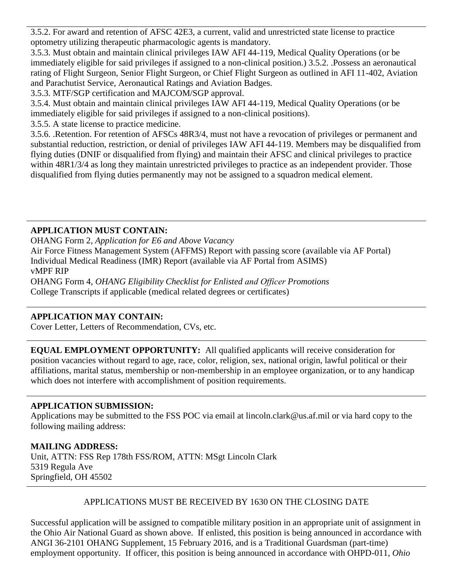3.5.2. For award and retention of AFSC 42E3, a current, valid and unrestricted state license to practice optometry utilizing therapeutic pharmacologic agents is mandatory.

3.5.3. Must obtain and maintain clinical privileges IAW AFI 44-119, Medical Quality Operations (or be immediately eligible for said privileges if assigned to a non-clinical position.) 3.5.2. .Possess an aeronautical rating of Flight Surgeon, Senior Flight Surgeon, or Chief Flight Surgeon as outlined in AFI 11-402, Aviation and Parachutist Service, Aeronautical Ratings and Aviation Badges.

3.5.3. MTF/SGP certification and MAJCOM/SGP approval.

3.5.4. Must obtain and maintain clinical privileges IAW AFI 44-119, Medical Quality Operations (or be immediately eligible for said privileges if assigned to a non-clinical positions).

3.5.5. A state license to practice medicine.

3.5.6. .Retention. For retention of AFSCs 48R3/4, must not have a revocation of privileges or permanent and substantial reduction, restriction, or denial of privileges IAW AFI 44-119. Members may be disqualified from flying duties (DNIF or disqualified from flying) and maintain their AFSC and clinical privileges to practice within 48R1/3/4 as long they maintain unrestricted privileges to practice as an independent provider. Those disqualified from flying duties permanently may not be assigned to a squadron medical element.

## **APPLICATION MUST CONTAIN:**

OHANG Form 2, *Application for E6 and Above Vacancy*  Air Force Fitness Management System (AFFMS) Report with passing score (available via AF Portal) Individual Medical Readiness (IMR) Report (available via AF Portal from ASIMS) vMPF RIP OHANG Form 4, *OHANG Eligibility Checklist for Enlisted and Officer Promotions*  College Transcripts if applicable (medical related degrees or certificates)

## **APPLICATION MAY CONTAIN:**

Cover Letter, Letters of Recommendation, CVs, etc.

**EQUAL EMPLOYMENT OPPORTUNITY:** All qualified applicants will receive consideration for position vacancies without regard to age, race, color, religion, sex, national origin, lawful political or their affiliations, marital status, membership or non-membership in an employee organization, or to any handicap which does not interfere with accomplishment of position requirements.

## **APPLICATION SUBMISSION:**

Applications may be submitted to the FSS POC via email at lincoln.clark@us.af.mil or via hard copy to the following mailing address:

## **MAILING ADDRESS:**

Unit, ATTN: FSS Rep 178th FSS/ROM, ATTN: MSgt Lincoln Clark 5319 Regula Ave Springfield, OH 45502

#### APPLICATIONS MUST BE RECEIVED BY 1630 ON THE CLOSING DATE

Successful application will be assigned to compatible military position in an appropriate unit of assignment in the Ohio Air National Guard as shown above. If enlisted, this position is being announced in accordance with ANGI 36-2101 OHANG Supplement, 15 February 2016, and is a Traditional Guardsman (part-time) employment opportunity. If officer, this position is being announced in accordance with OHPD-011, *Ohio*